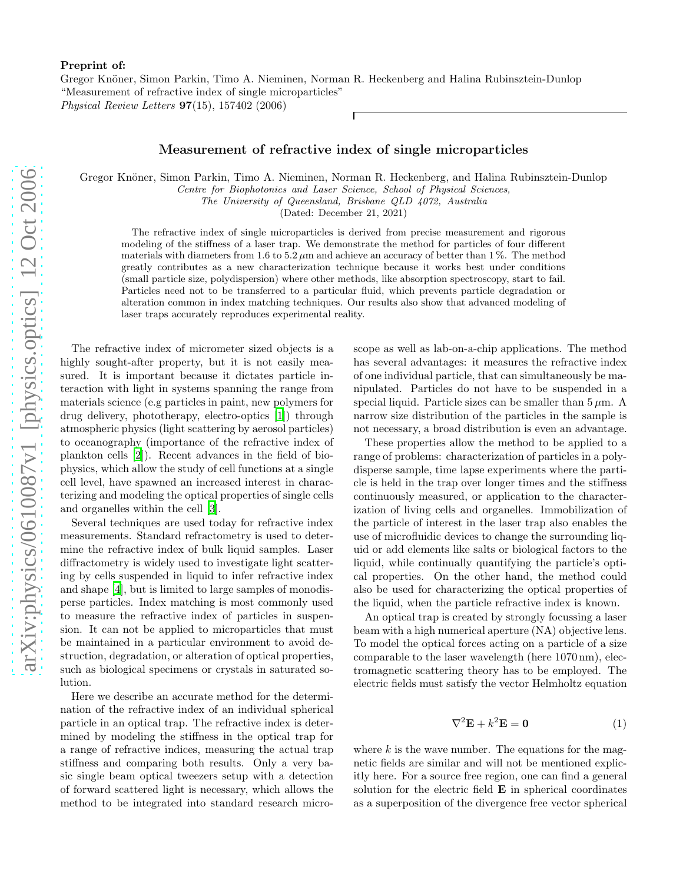## Preprint of:

Gregor Knöner, Simon Parkin, Timo A. Nieminen, Norman R. Heckenberg and Halina Rubinsztein-Dunlop "Measurement of refractive index of single microparticles" Physical Review Letters 97(15), 157402 (2006)

## Measurement of refractive index of single microparticles

Gregor Knöner, Simon Parkin, Timo A. Nieminen, Norman R. Heckenberg, and Halina Rubinsztein-Dunlop

Centre for Biophotonics and Laser Science, School of Physical Sciences,

The University of Queensland, Brisbane QLD 4072, Australia

(Dated: December 21, 2021)

The refractive index of single microparticles is derived from precise measurement and rigorous modeling of the stiffness of a laser trap. We demonstrate the method for particles of four different materials with diameters from 1.6 to  $5.2 \mu m$  and achieve an accuracy of better than 1%. The method greatly contributes as a new characterization technique because it works best under conditions (small particle size, polydispersion) where other methods, like absorption spectroscopy, start to fail. Particles need not to be transferred to a particular fluid, which prevents particle degradation or alteration common in index matching techniques. Our results also show that advanced modeling of laser traps accurately reproduces experimental reality.

The refractive index of micrometer sized objects is a highly sought-after property, but it is not easily measured. It is important because it dictates particle interaction with light in systems spanning the range from materials science (e.g particles in paint, new polymers for drug delivery, phototherapy, electro-optics [\[1\]](#page-3-0)) through atmospheric physics (light scattering by aerosol particles) to oceanography (importance of the refractive index of plankton cells [\[2](#page-3-1)]). Recent advances in the field of biophysics, which allow the study of cell functions at a single cell level, have spawned an increased interest in characterizing and modeling the optical properties of single cells and organelles within the cell [\[3\]](#page-3-2).

Several techniques are used today for refractive index measurements. Standard refractometry is used to determine the refractive index of bulk liquid samples. Laser diffractometry is widely used to investigate light scattering by cells suspended in liquid to infer refractive index and shape [\[4\]](#page-3-3), but is limited to large samples of monodisperse particles. Index matching is most commonly used to measure the refractive index of particles in suspension. It can not be applied to microparticles that must be maintained in a particular environment to avoid destruction, degradation, or alteration of optical properties, such as biological specimens or crystals in saturated solution.

Here we describe an accurate method for the determination of the refractive index of an individual spherical particle in an optical trap. The refractive index is determined by modeling the stiffness in the optical trap for a range of refractive indices, measuring the actual trap stiffness and comparing both results. Only a very basic single beam optical tweezers setup with a detection of forward scattered light is necessary, which allows the method to be integrated into standard research microscope as well as lab-on-a-chip applications. The method has several advantages: it measures the refractive index of one individual particle, that can simultaneously be manipulated. Particles do not have to be suspended in a special liquid. Particle sizes can be smaller than  $5 \mu m$ . A narrow size distribution of the particles in the sample is not necessary, a broad distribution is even an advantage.

These properties allow the method to be applied to a range of problems: characterization of particles in a polydisperse sample, time lapse experiments where the particle is held in the trap over longer times and the stiffness continuously measured, or application to the characterization of living cells and organelles. Immobilization of the particle of interest in the laser trap also enables the use of microfluidic devices to change the surrounding liquid or add elements like salts or biological factors to the liquid, while continually quantifying the particle's optical properties. On the other hand, the method could also be used for characterizing the optical properties of the liquid, when the particle refractive index is known.

An optical trap is created by strongly focussing a laser beam with a high numerical aperture (NA) objective lens. To model the optical forces acting on a particle of a size comparable to the laser wavelength (here 1070 nm), electromagnetic scattering theory has to be employed. The electric fields must satisfy the vector Helmholtz equation

$$
\nabla^2 \mathbf{E} + k^2 \mathbf{E} = \mathbf{0} \tag{1}
$$

where  $k$  is the wave number. The equations for the magnetic fields are similar and will not be mentioned explicitly here. For a source free region, one can find a general solution for the electric field E in spherical coordinates as a superposition of the divergence free vector spherical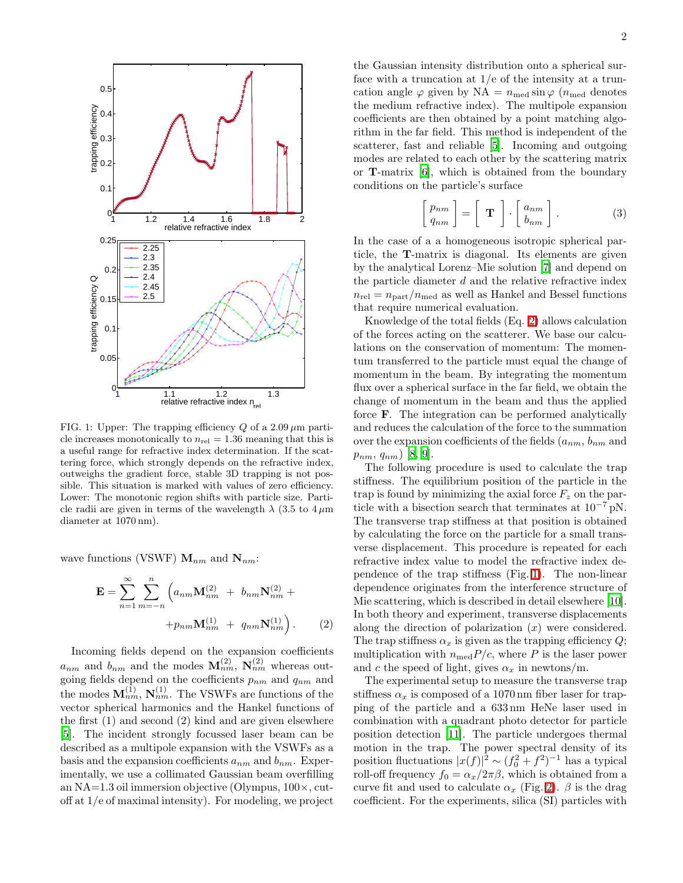

<span id="page-1-1"></span>FIG. 1: Upper: The trapping efficiency Q of a  $2.09 \mu m$  particle increases monotonically to  $n_{rel} = 1.36$  meaning that this is a useful range for refractive index determination. If the scattering force, which strongly depends on the refractive index, outweighs the gradient force, stable 3D trapping is not possible. This situation is marked with values of zero efficiency. Lower: The monotonic region shifts with particle size. Particle radii are given in terms of the wavelength  $\lambda$  (3.5 to 4  $\mu$ m) diameter at 1070 nm).

<span id="page-1-0"></span>wave functions (VSWF)  $\mathbf{M}_{nm}$  and  $\mathbf{N}_{nm}$ :

$$
\mathbf{E} = \sum_{n=1}^{\infty} \sum_{m=-n}^{n} \left( a_{nm} \mathbf{M}_{nm}^{(2)} + b_{nm} \mathbf{N}_{nm}^{(2)} + b_{nm} \mathbf{N}_{nm}^{(1)} \right) + p_{nm} \mathbf{M}_{nm}^{(1)} + q_{nm} \mathbf{N}_{nm}^{(1)} \right). \tag{2}
$$

Incoming fields depend on the expansion coefficients  $a_{nm}$  and  $b_{nm}$  and the modes  $\mathbf{M}_{nm}^{(2)}$ ,  $\mathbf{N}_{nm}^{(2)}$  whereas outgoing fields depend on the coefficients  $p_{nm}$  and  $q_{nm}$  and the modes  $\mathbf{M}_{nm}^{(1)}$ ,  $\mathbf{N}_{nm}^{(1)}$ . The VSWFs are functions of the vector spherical harmonics and the Hankel functions of the first (1) and second (2) kind and are given elsewhere [\[5\]](#page-3-4). The incident strongly focussed laser beam can be described as a multipole expansion with the VSWFs as a basis and the expansion coefficients  $a_{nm}$  and  $b_{nm}$ . Experimentally, we use a collimated Gaussian beam overfilling an NA=1.3 oil immersion objective (Olympus, 100×, cutoff at 1/e of maximal intensity). For modeling, we project

the Gaussian intensity distribution onto a spherical surface with a truncation at  $1/e$  of the intensity at a truncation angle  $\varphi$  given by NA =  $n_{\text{med}} \sin \varphi$  ( $n_{\text{med}}$  denotes the medium refractive index). The multipole expansion coefficients are then obtained by a point matching algorithm in the far field. This method is independent of the scatterer, fast and reliable [\[5\]](#page-3-4). Incoming and outgoing modes are related to each other by the scattering matrix or T-matrix [\[6](#page-3-5)], which is obtained from the boundary conditions on the particle's surface

$$
\begin{bmatrix} p_{nm} \\ q_{nm} \end{bmatrix} = \begin{bmatrix} \mathbf{T} \end{bmatrix} \cdot \begin{bmatrix} a_{nm} \\ b_{nm} \end{bmatrix} . \tag{3}
$$

In the case of a a homogeneous isotropic spherical particle, the T-matrix is diagonal. Its elements are given by the analytical Lorenz–Mie solution [\[7](#page-3-6)] and depend on the particle diameter  $d$  and the relative refractive index  $n_{\text{rel}} = n_{\text{part}}/n_{\text{med}}$  as well as Hankel and Bessel functions that require numerical evaluation.

Knowledge of the total fields (Eq. [2\)](#page-1-0) allows calculation of the forces acting on the scatterer. We base our calculations on the conservation of momentum: The momentum transferred to the particle must equal the change of momentum in the beam. By integrating the momentum flux over a spherical surface in the far field, we obtain the change of momentum in the beam and thus the applied force F. The integration can be performed analytically and reduces the calculation of the force to the summation over the expansion coefficients of the fields  $(a_{nm}, b_{nm}$  and  $p_{nm}, q_{nm})$  [\[8,](#page-3-7) [9\]](#page-3-8).

The following procedure is used to calculate the trap stiffness. The equilibrium position of the particle in the trap is found by minimizing the axial force  $F_z$  on the particle with a bisection search that terminates at  $10^{-7}$  pN. The transverse trap stiffness at that position is obtained by calculating the force on the particle for a small transverse displacement. This procedure is repeated for each refractive index value to model the refractive index dependence of the trap stiffness (Fig. [1\)](#page-1-1). The non-linear dependence originates from the interference structure of Mie scattering, which is described in detail elsewhere [\[10\]](#page-3-9). In both theory and experiment, transverse displacements along the direction of polarization  $(x)$  were considered. The trap stiffness  $\alpha_x$  is given as the trapping efficiency Q; multiplication with  $n_{\text{med}}P/c$ , where P is the laser power and c the speed of light, gives  $\alpha_x$  in newtons/m.

The experimental setup to measure the transverse trap stiffness  $\alpha_x$  is composed of a 1070 nm fiber laser for trapping of the particle and a 633 nm HeNe laser used in combination with a quadrant photo detector for particle position detection [\[11\]](#page-4-0). The particle undergoes thermal motion in the trap. The power spectral density of its position fluctuations  $|x(f)|^2 \sim (f_0^2 + f^2)^{-1}$  has a typical roll-off frequency  $f_0 = \alpha_x/2\pi\beta$ , which is obtained from a curve fit and used to calculate  $\alpha_x$  (Fig. [2\)](#page-2-0).  $\beta$  is the drag coefficient. For the experiments, silica (SI) particles with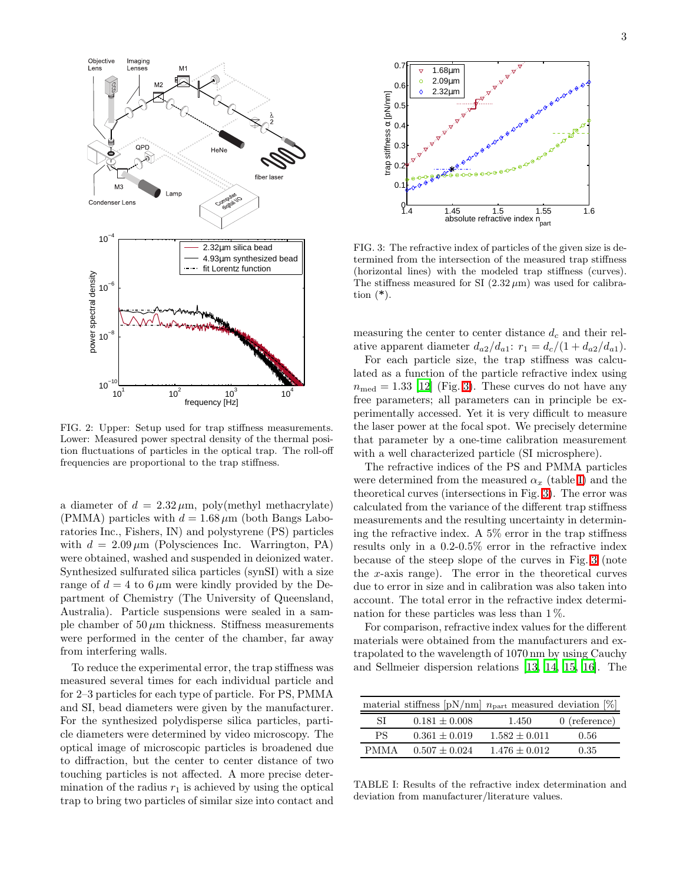

<span id="page-2-0"></span>FIG. 2: Upper: Setup used for trap stiffness measurements. Lower: Measured power spectral density of the thermal position fluctuations of particles in the optical trap. The roll-off frequencies are proportional to the trap stiffness.

a diameter of  $d = 2.32 \mu m$ , poly(methyl methacrylate) (PMMA) particles with  $d = 1.68 \,\mu\text{m}$  (both Bangs Laboratories Inc., Fishers, IN) and polystyrene (PS) particles with  $d = 2.09 \,\mu\text{m}$  (Polysciences Inc. Warrington, PA) were obtained, washed and suspended in deionized water. Synthesized sulfurated silica particles (synSI) with a size range of  $d = 4$  to 6  $\mu$ m were kindly provided by the Department of Chemistry (The University of Queensland, Australia). Particle suspensions were sealed in a sample chamber of  $50 \mu m$  thickness. Stiffness measurements were performed in the center of the chamber, far away from interfering walls.

To reduce the experimental error, the trap stiffness was measured several times for each individual particle and for 2–3 particles for each type of particle. For PS, PMMA and SI, bead diameters were given by the manufacturer. For the synthesized polydisperse silica particles, particle diameters were determined by video microscopy. The optical image of microscopic particles is broadened due to diffraction, but the center to center distance of two touching particles is not affected. A more precise determination of the radius  $r_1$  is achieved by using the optical trap to bring two particles of similar size into contact and



<span id="page-2-1"></span>FIG. 3: The refractive index of particles of the given size is determined from the intersection of the measured trap stiffness (horizontal lines) with the modeled trap stiffness (curves). The stiffness measured for SI  $(2.32 \,\mu\text{m})$  was used for calibration  $(*).$ 

measuring the center to center distance  $d_c$  and their relative apparent diameter  $d_{a2}/d_{a1}$ :  $r_1 = d_c/(1 + d_{a2}/d_{a1})$ .

For each particle size, the trap stiffness was calculated as a function of the particle refractive index using  $n_{\text{med}} = 1.33$  [\[12\]](#page-4-1) (Fig. [3\)](#page-2-1). These curves do not have any free parameters; all parameters can in principle be experimentally accessed. Yet it is very difficult to measure the laser power at the focal spot. We precisely determine that parameter by a one-time calibration measurement with a well characterized particle (SI microsphere).

The refractive indices of the PS and PMMA particles were determined from the measured  $\alpha_x$  (table [I\)](#page-2-2) and the theoretical curves (intersections in Fig. [3\)](#page-2-1). The error was calculated from the variance of the different trap stiffness measurements and the resulting uncertainty in determining the refractive index. A 5% error in the trap stiffness results only in a 0.2-0.5% error in the refractive index because of the steep slope of the curves in Fig. [3](#page-2-1) (note the x-axis range). The error in the theoretical curves due to error in size and in calibration was also taken into account. The total error in the refractive index determination for these particles was less than 1 %.

For comparison, refractive index values for the different materials were obtained from the manufacturers and extrapolated to the wavelength of 1070 nm by using Cauchy and Sellmeier dispersion relations [\[13](#page-4-2), [14,](#page-4-3) [15,](#page-4-4) [16\]](#page-4-5). The

|             | material stiffness $[pN/nm]$ $n_{part}$ measured deviation [%] |                 |                 |
|-------------|----------------------------------------------------------------|-----------------|-----------------|
| SL          | $0.181 + 0.008$                                                | 1.450           | $0$ (reference) |
| PS.         | $0.361 \pm 0.019$                                              | $1.582 + 0.011$ | 0.56            |
| <b>PMMA</b> | $0.507 + 0.024$                                                | $1.476 + 0.012$ | 0.35            |

<span id="page-2-2"></span>TABLE I: Results of the refractive index determination and deviation from manufacturer/literature values.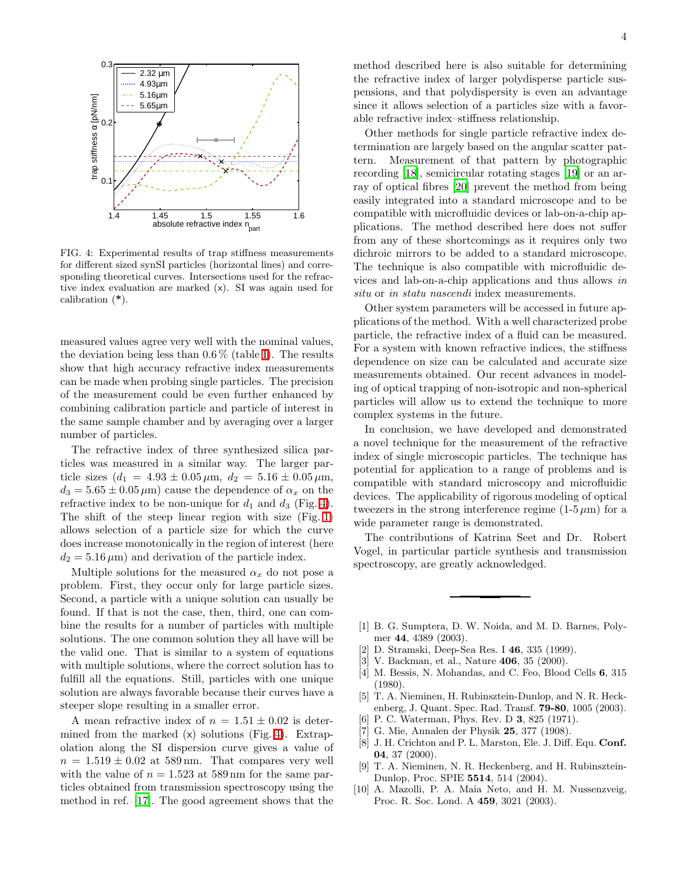

<span id="page-3-10"></span>FIG. 4: Experimental results of trap stiffness measurements for different sized synSI particles (horizontal lines) and corresponding theoretical curves. Intersections used for the refractive index evaluation are marked (x). SI was again used for calibration (\*).

measured values agree very well with the nominal values, the deviation being less than  $0.6\%$  (table [I\)](#page-2-2). The results show that high accuracy refractive index measurements can be made when probing single particles. The precision of the measurement could be even further enhanced by combining calibration particle and particle of interest in the same sample chamber and by averaging over a larger number of particles.

The refractive index of three synthesized silica particles was measured in a similar way. The larger particle sizes  $(d_1 = 4.93 \pm 0.05 \,\mu\text{m}, d_2 = 5.16 \pm 0.05 \,\mu\text{m},$  $d_3 = 5.65 \pm 0.05 \,\mu\text{m}$  cause the dependence of  $\alpha_x$  on the refractive index to be non-unique for  $d_1$  and  $d_3$  (Fig. [4\)](#page-3-10). The shift of the steep linear region with size (Fig. [1\)](#page-1-1) allows selection of a particle size for which the curve does increase monotonically in the region of interest (here  $d_2 = 5.16 \,\mu\text{m}$  and derivation of the particle index.

Multiple solutions for the measured  $\alpha_x$  do not pose a problem. First, they occur only for large particle sizes. Second, a particle with a unique solution can usually be found. If that is not the case, then, third, one can combine the results for a number of particles with multiple solutions. The one common solution they all have will be the valid one. That is similar to a system of equations with multiple solutions, where the correct solution has to fulfill all the equations. Still, particles with one unique solution are always favorable because their curves have a steeper slope resulting in a smaller error.

A mean refractive index of  $n = 1.51 \pm 0.02$  is determined from the marked  $(x)$  solutions (Fig. [4\)](#page-3-10). Extrapolation along the SI dispersion curve gives a value of  $n = 1.519 \pm 0.02$  at 589 nm. That compares very well with the value of  $n = 1.523$  at 589 nm for the same particles obtained from transmission spectroscopy using the method in ref. [\[17\]](#page-4-6). The good agreement shows that the method described here is also suitable for determining the refractive index of larger polydisperse particle suspensions, and that polydispersity is even an advantage since it allows selection of a particles size with a favorable refractive index–stiffness relationship.

Other methods for single particle refractive index determination are largely based on the angular scatter pattern. Measurement of that pattern by photographic recording [\[18\]](#page-4-7), semicircular rotating stages [\[19\]](#page-4-8) or an array of optical fibres [\[20\]](#page-4-9) prevent the method from being easily integrated into a standard microscope and to be compatible with microfluidic devices or lab-on-a-chip applications. The method described here does not suffer from any of these shortcomings as it requires only two dichroic mirrors to be added to a standard microscope. The technique is also compatible with microfluidic devices and lab-on-a-chip applications and thus allows in situ or in statu nascendi index measurements.

Other system parameters will be accessed in future applications of the method. With a well characterized probe particle, the refractive index of a fluid can be measured. For a system with known refractive indices, the stiffness dependence on size can be calculated and accurate size measurements obtained. Our recent advances in modeling of optical trapping of non-isotropic and non-spherical particles will allow us to extend the technique to more complex systems in the future.

In conclusion, we have developed and demonstrated a novel technique for the measurement of the refractive index of single microscopic particles. The technique has potential for application to a range of problems and is compatible with standard microscopy and microfluidic devices. The applicability of rigorous modeling of optical tweezers in the strong interference regime  $(1-5 \mu m)$  for a wide parameter range is demonstrated.

The contributions of Katrina Seet and Dr. Robert Vogel, in particular particle synthesis and transmission spectroscopy, are greatly acknowledged.

- <span id="page-3-0"></span>[1] B. G. Sumptera, D. W. Noida, and M. D. Barnes, Polymer 44, 4389 (2003).
- <span id="page-3-1"></span>[2] D. Stramski, Deep-Sea Res. I 46, 335 (1999).
- <span id="page-3-2"></span>[3] V. Backman, et al., Nature 406, 35 (2000).
- <span id="page-3-3"></span>[4] M. Bessis, N. Mohandas, and C. Feo, Blood Cells 6, 315 (1980).
- <span id="page-3-4"></span>[5] T. A. Nieminen, H. Rubinsztein-Dunlop, and N. R. Heckenberg, J. Quant. Spec. Rad. Transf. 79-80, 1005 (2003).
- <span id="page-3-5"></span>[6] P. C. Waterman, Phys. Rev. D 3, 825 (1971).<br>[7] G. Mie, Annalen der Physik 25, 377 (1908).
- <span id="page-3-6"></span>[7] G. Mie, Annalen der Physik 25, 377 (1908).
- <span id="page-3-7"></span>[8] J. H. Crichton and P. L. Marston, Ele. J. Diff. Equ. Conf. 04, 37 (2000).
- [9] T. A. Nieminen, N. R. Heckenberg, and H. Rubinsztein-Dunlop, Proc. SPIE 5514, 514 (2004).
- <span id="page-3-9"></span><span id="page-3-8"></span>[10] A. Mazolli, P. A. Maia Neto, and H. M. Nussenzveig, Proc. R. Soc. Lond. A 459, 3021 (2003).